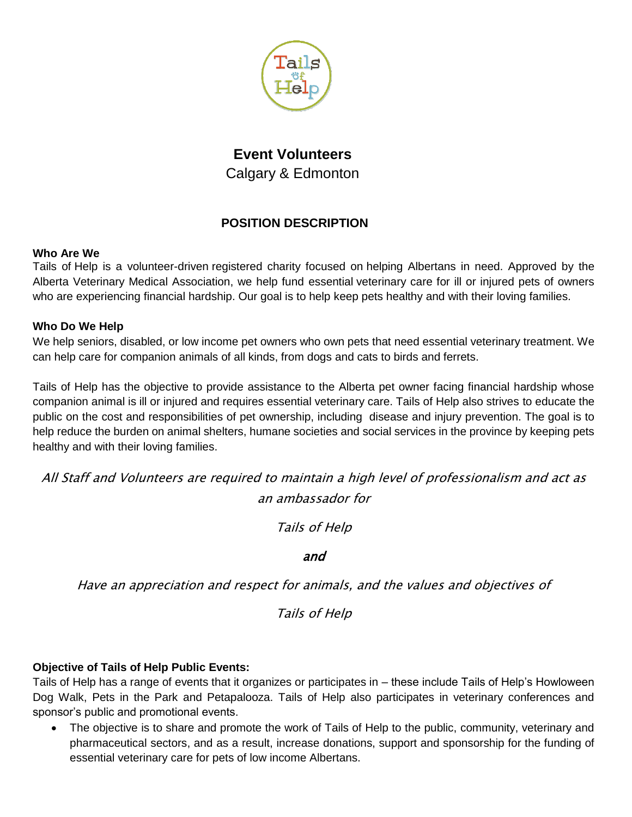

# **Event Volunteers** Calgary & Edmonton

# **POSITION DESCRIPTION**

## **Who Are We**

Tails of Help is a volunteer-driven registered charity focused on helping Albertans in need. Approved by the Alberta Veterinary Medical Association, we help fund essential veterinary care for ill or injured pets of owners who are experiencing financial hardship. Our goal is to help keep pets healthy and with their loving families.

# **Who Do We Help**

We help seniors, disabled, or low income pet owners who own pets that need essential veterinary treatment. We can help care for companion animals of all kinds, from dogs and cats to birds and ferrets.

Tails of Help has the objective to provide assistance to the Alberta pet owner facing financial hardship whose companion animal is ill or injured and requires essential veterinary care. Tails of Help also strives to educate the public on the cost and responsibilities of pet ownership, including disease and injury prevention. The goal is to help reduce the burden on animal shelters, humane societies and social services in the province by keeping pets healthy and with their loving families.

All Staff and Volunteers are required to maintain a high level of professionalism and act as an ambassador for

Tails of Help

and

Have an appreciation and respect for animals, and the values and objectives of

Tails of Help

# **Objective of Tails of Help Public Events:**

Tails of Help has a range of events that it organizes or participates in – these include Tails of Help's Howloween Dog Walk, Pets in the Park and Petapalooza. Tails of Help also participates in veterinary conferences and sponsor's public and promotional events.

• The objective is to share and promote the work of Tails of Help to the public, community, veterinary and pharmaceutical sectors, and as a result, increase donations, support and sponsorship for the funding of essential veterinary care for pets of low income Albertans.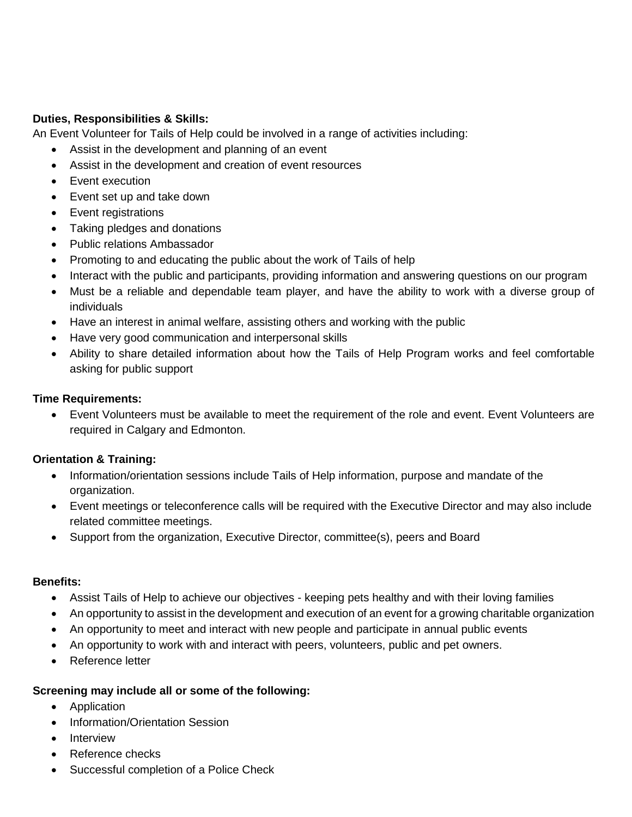## **Duties, Responsibilities & Skills:**

An Event Volunteer for Tails of Help could be involved in a range of activities including:

- Assist in the development and planning of an event
- Assist in the development and creation of event resources
- Event execution
- Event set up and take down
- Event registrations
- Taking pledges and donations
- Public relations Ambassador
- Promoting to and educating the public about the work of Tails of help
- Interact with the public and participants, providing information and answering questions on our program
- Must be a reliable and dependable team player, and have the ability to work with a diverse group of individuals
- Have an interest in animal welfare, assisting others and working with the public
- Have very good communication and interpersonal skills
- Ability to share detailed information about how the Tails of Help Program works and feel comfortable asking for public support

#### **Time Requirements:**

 Event Volunteers must be available to meet the requirement of the role and event. Event Volunteers are required in Calgary and Edmonton.

#### **Orientation & Training:**

- Information/orientation sessions include Tails of Help information, purpose and mandate of the organization.
- Event meetings or teleconference calls will be required with the Executive Director and may also include related committee meetings.
- Support from the organization, Executive Director, committee(s), peers and Board

#### **Benefits:**

- Assist Tails of Help to achieve our objectives keeping pets healthy and with their loving families
- An opportunity to assist in the development and execution of an event for a growing charitable organization
- An opportunity to meet and interact with new people and participate in annual public events
- An opportunity to work with and interact with peers, volunteers, public and pet owners.
- Reference letter

#### **Screening may include all or some of the following:**

- Application
- Information/Orientation Session
- Interview
- Reference checks
- Successful completion of a Police Check